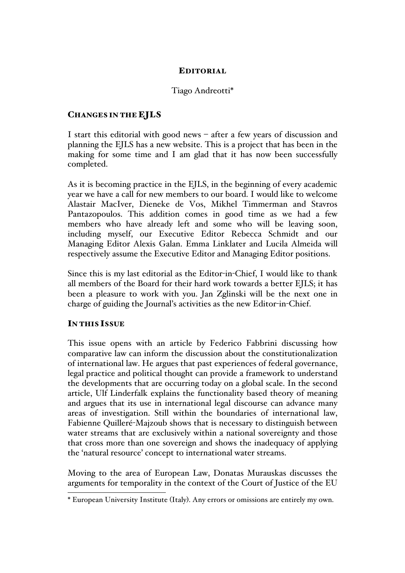# EDITORIAL

# Tiago Andreotti\*

### CHANGES IN THE EJLS

I start this editorial with good news – after a few years of discussion and planning the EJLS has a new website. This is a project that has been in the making for some time and I am glad that it has now been successfully completed.

As it is becoming practice in the EJLS, in the beginning of every academic year we have a call for new members to our board. I would like to welcome Alastair MacIver, Dieneke de Vos, Mikhel Timmerman and Stavros Pantazopoulos. This addition comes in good time as we had a few members who have already left and some who will be leaving soon, including myself, our Executive Editor Rebecca Schmidt and our Managing Editor Alexis Galan. Emma Linklater and Lucila Almeida will respectively assume the Executive Editor and Managing Editor positions.

Since this is my last editorial as the Editor-in-Chief, I would like to thank all members of the Board for their hard work towards a better EJLS; it has been a pleasure to work with you. Jan Zglinski will be the next one in charge of guiding the Journal's activities as the new Editor-in-Chief.

# IN THIS ISSUE

This issue opens with an article by Federico Fabbrini discussing how comparative law can inform the discussion about the constitutionalization of international law. He argues that past experiences of federal governance, legal practice and political thought can provide a framework to understand the developments that are occurring today on a global scale. In the second article, Ulf Linderfalk explains the functionality based theory of meaning and argues that its use in international legal discourse can advance many areas of investigation. Still within the boundaries of international law, Fabienne Quilleré-Majzoub shows that is necessary to distinguish between water streams that are exclusively within a national sovereignty and those that cross more than one sovereign and shows the inadequacy of applying the 'natural resource' concept to international water streams.

Moving to the area of European Law, Donatas Murauskas discusses the arguments for temporality in the context of the Court of Justice of the EU

 <sup>\*</sup> European University Institute (Italy). Any errors or omissions are entirely my own.